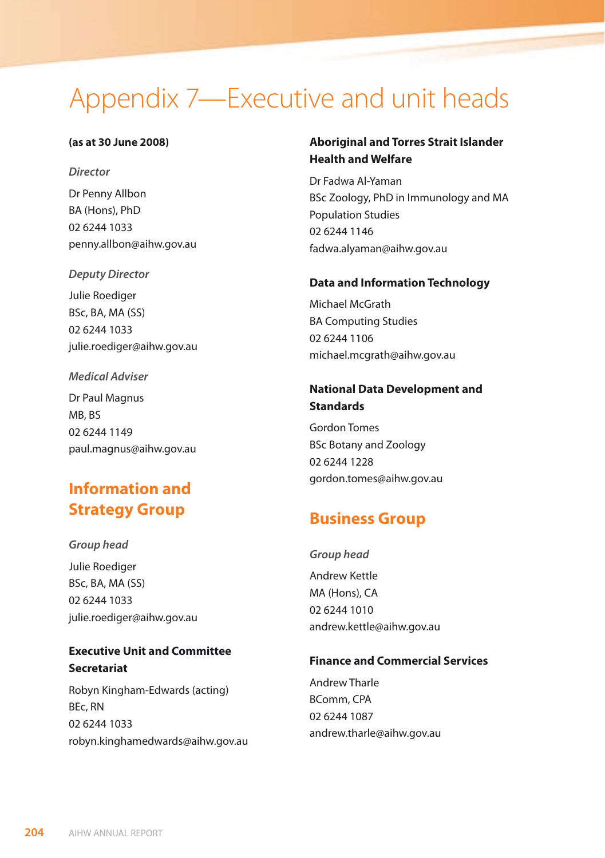# Appendix 7—Executive and unit heads

#### **(as at 30 June 2008)**

*Director*

Dr Penny Allbon BA (Hons), PhD 02 6244 1033 penny.allbon@aihw.gov.au

*Deputy Director*

Julie Roediger BSc, BA, MA (SS) 02 6244 1033 julie.roediger@aihw.gov.au

#### *Medical Adviser*

Dr Paul Magnus MB, BS 02 6244 1149 paul.magnus@aihw.gov.au

# **Information and Strategy Group**

*Group head* Julie Roediger BSc, BA, MA (SS) 02 6244 1033 julie.roediger@aihw.gov.au

**Executive Unit and Committee Secretariat**

Robyn Kingham-Edwards (acting) BEc, RN 02 6244 1033 robyn.kinghamedwards@aihw.gov.au

### **Aboriginal and Torres Strait Islander Health and Welfare**

Dr Fadwa Al-Yaman BSc Zoology, PhD in Immunology and MA Population Studies 02 6244 1146 fadwa.alyaman@aihw.gov.au

#### **Data and Information Technology**

Michael McGrath BA Computing Studies 02 6244 1106 michael.mcgrath@aihw.gov.au

### **National Data Development and Standards**

Gordon Tomes BSc Botany and Zoology 02 6244 1228 gordon.tomes@aihw.gov.au

# **Business Group**

*Group head* Andrew Kettle MA (Hons), CA 02 6244 1010 andrew.kettle@aihw.gov.au

#### **Finance and Commercial Services**

Andrew Tharle BComm, CPA 02 6244 1087 andrew.tharle@aihw.gov.au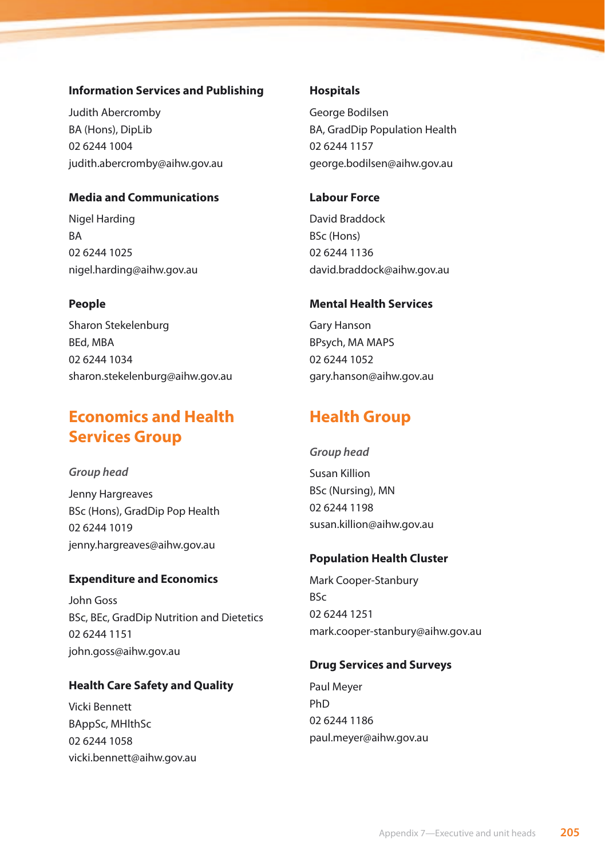#### **Information Services and Publishing**

Judith Abercromby BA (Hons), DipLib 02 6244 1004 judith.abercromby@aihw.gov.au

#### **Media and Communications**

Nigel Harding BA 02 6244 1025 nigel.harding@aihw.gov.au

#### **People**

Sharon Stekelenburg BEd, MBA 02 6244 1034 sharon.stekelenburg@aihw.gov.au

# **Economics and Health Services Group**

*Group head* Jenny Hargreaves BSc (Hons), GradDip Pop Health 02 6244 1019 jenny.hargreaves@aihw.gov.au

#### **Expenditure and Economics**

John Goss BSc, BEc, GradDip Nutrition and Dietetics 02 6244 1151 john.goss@aihw.gov.au

### **Health Care Safety and Quality**

Vicki Bennett BAppSc, MHlthSc 02 6244 1058 vicki.bennett@aihw.gov.au

#### **Hospitals**

George Bodilsen BA, GradDip Population Health 02 6244 1157 george.bodilsen@aihw.gov.au

#### **Labour Force**

David Braddock BSc (Hons) 02 6244 1136 david.braddock@aihw.gov.au

#### **Mental Health Services**

Gary Hanson BPsych, MA MAPS 02 6244 1052 gary.hanson@aihw.gov.au

# **Health Group**

#### *Group head*

Susan Killion BSc (Nursing), MN 02 6244 1198 susan.killion@aihw.gov.au

#### **Population Health Cluster**

Mark Cooper-Stanbury BSc 02 6244 1251 mark.cooper-stanbury@aihw.gov.au

#### **Drug Services and Surveys**

Paul Meyer PhD 02 6244 1186 paul.meyer@aihw.gov.au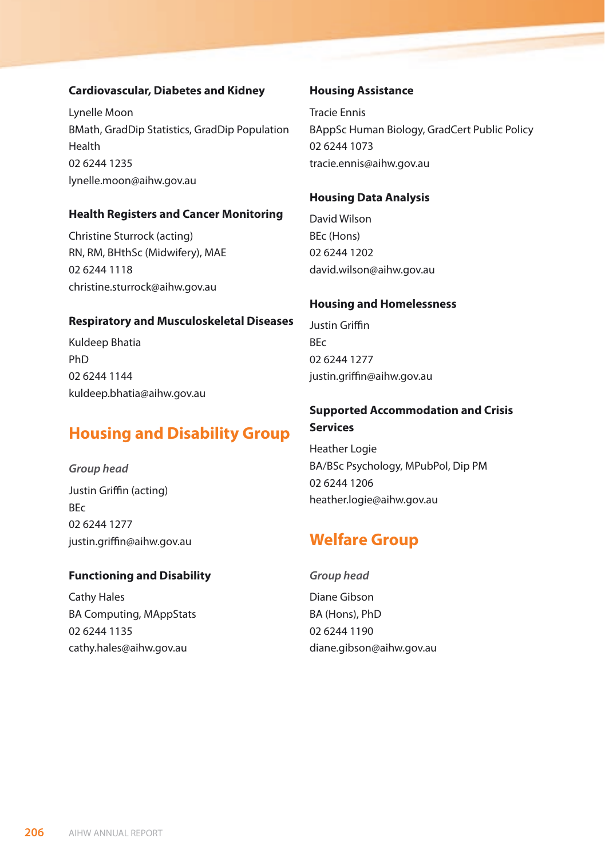#### **Cardiovascular, Diabetes and Kidney**

Lynelle Moon BMath, GradDip Statistics, GradDip Population Health 02 6244 1235 lynelle.moon@aihw.gov.au

#### **Health Registers and Cancer Monitoring**

Christine Sturrock (acting) RN, RM, BHthSc (Midwifery), MAE 02 6244 1118 christine.sturrock@aihw.gov.au

#### **Respiratory and Musculoskeletal Diseases**

Kuldeep Bhatia PhD 02 6244 1144 kuldeep.bhatia@aihw.gov.au

# **Housing and Disability Group**

*Group head* Justin Griffin (acting) BEc 02 6244 1277 justin.griffin@aihw.gov.au

#### **Functioning and Disability**

Cathy Hales BA Computing, MAppStats 02 6244 1135 cathy.hales@aihw.gov.au

#### **Housing Assistance**

Tracie Ennis BAppSc Human Biology, GradCert Public Policy 02 6244 1073 tracie.ennis@aihw.gov.au

#### **Housing Data Analysis**

David Wilson BEc (Hons) 02 6244 1202 david.wilson@aihw.gov.au

#### **Housing and Homelessness**

Justin Griffin BEc 02 6244 1277 justin.griffin@aihw.gov.au

### **Supported Accommodation and Crisis Services**

Heather Logie BA/BSc Psychology, MPubPol, Dip PM 02 6244 1206 heather.logie@aihw.gov.au

## **Welfare Group**

#### *Group head*

Diane Gibson BA (Hons), PhD 02 6244 1190 diane.gibson@aihw.gov.au